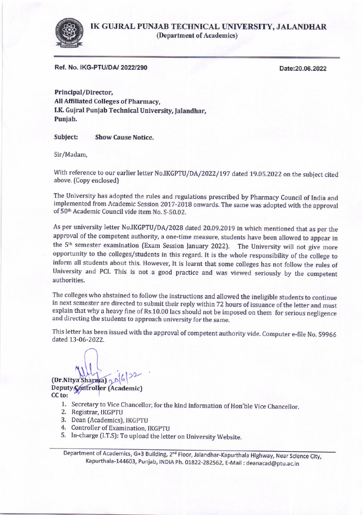

IK GUJRAL PUNJAB TECHNICAL UNIVERSITY, JALANDHAR (Department of Academics)

Ref. No. IKG-PTU/DA/ 2022/290

Date:20.06.2022

Principal/Director, All Affiliated Colleges of Pharmacy, I.K. Gujral Punjab Technical University, Jalandhar, Puniab,

Subject: Show Cause Notice.

Sir/Madam,

With reference to our earlier letter No.IKGPTU/DA/2022/197 dated 19.05.2022 on the subject cited above. (Copy enclosed)

The University has adopted the rules and regulations prescribed by Pharmacy Council of India and implemented from Academic Session 2017-2018 onwards. The same was adopted with the approval of 50<sup>th</sup> Academic Council vide item No. S-50.02.

As per university letter No.IKGPTU/DA/z028 dated 20.09.2019 in which mentioned that as per the approval of the competent authority, a one-time measure, students have been allowed to appear in the 5<sup>th</sup> semester examination (Exam Session January 2022). The University will not give more opportunity to the colleges/students in this regard. It is the whole responsibility of the college to inform all students about this. However, It is learnt that some colleges has not follow the rules of University and PCI. This is not a good practice and was viewed seriously by the competent authorities.

The colleges who abstained to follow the instructions and allowed the ineligible students to continue in next semester are directed to submit their reply within 72 hours of issuance of the letter and must explain that why a heavy fine of Rs.10.00 lacs should not be imposed on them for serious negligence and directing the students to approach university for the same.

This letter has been issued with the approval of competent authority vide. Computer e-file No. 59966 dated 13-06-2022.

 $(Dr.NItya Sharma)$   $2^{b|b|2^2}$ Deputy Controller (Academic) CC to:

- 1. Secretary to Vice Chancellor, for the kind information of Hon'ble Vice Chancellor.<br>2. Registrar, IKGPTU
- 
- 3. Dean (Academics), IKCPTU
- 4. Controller of Examination, IKGPTU
- 5. In-charge (I.T.S): To upload the letter on University Website.

Department of Academics, G+3 Building, 2<sup>nd</sup> Floor, Jalandhar-Kapurthala Highway, Near Science City, Kapurthala-144603, Punjab, INDIA Ph. 01822-282562, E-Mail : deanacad@ptu.ac.in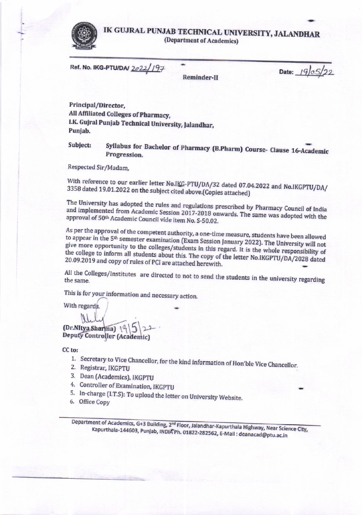

## IK GUJRAL PUNJAB TECHNICAL UNIVERSITY, JALANDHAR (Department of Academics)

Ref. No. IKG-PTU/DAJ 2022/197

Reminder-II

Date:  $19/0.5/22$ 

Principal/Director, All Affiliated Colleges of Pharmacy, I.K. Gujral Punjab Technical University, Jalandhar, Punjab.

Syllabus for Bachelor of Pharmacy (B.Pharm) Course- Clause 16-Academic Subject: Progression.

Respected Sir/Madam,

With reference to our earlier letter No.IKG-PTU/DA/32 dated 07.04.2022 and No.IKGPTU/DA/ 3358 dated 19.01.2022 on the subject cited above. (Copies attached)

The University has adopted the rules and regulations prescribed by Pharmacy Council of India and implemented from Academic Session 2017-2018 onwards. The same was adopted with the approval of 50th Academic Council vide item No. S-50.02.

As per the approval of the competent authority, a one-time measure, students have been allowed to appear in the 5<sup>th</sup> semester examination (Exam Session January 2022). The University will not give more opportunity to the colleges/students in this regard. It is the whole responsibility of the college to inform all students about this. The copy of the letter No.IKGPTU/DA/2028 dated 20.09.2019 and copy of rules of PCI are attached herewith.

All the Colleges/Institutes are directed to not to send the students in the university regarding

This is for your information and necessary action.

With regards.

(Dr.NItya Sharma) \<sup>0</sup> **Deputy Controller (Academic)** 

CC<sub>to:</sub>

- 1. Secretary to Vice Chancellor, for the kind information of Hon'ble Vice Chancellor.
- 2. Registrar, IKGPTU
- 3. Dean (Academics), IKGPTU
- 4. Controller of Examination, IKGPTU
- 5. In-charge (I.T.S): To upload the letter on University Website.
- 6. Office Copy

Department of Academics, G+3 Building, 2<sup>nd</sup> Floor, Jalandhar-Kapurthala Highway, Near Science City, Kapurthala-144603, Punjab, INDIA Ph. 01822-282562, E-Mail : deanacad@ptu.ac.in